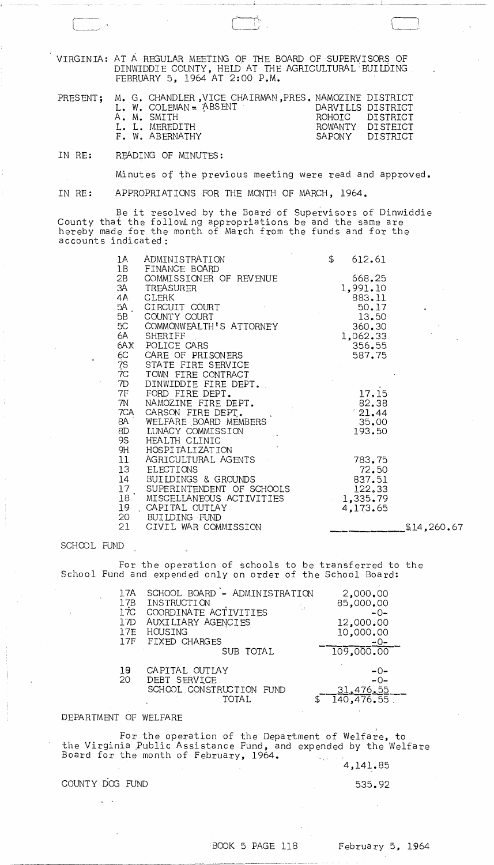VIRGINIA: AT A REGULAR MEETING OF THE BOARD OF SUPERVISORS OF DINWIDDIE COUNTY, HELD AT THE AGRICULTURAL BUILDING FEBRUARY 5, 1964 AT 2:00 P.M.

|  | PRESENT; M. G. CHANDLER, VICE CHAIRMAN, PRES. NAMOZINE DISTRICT |                   |                  |
|--|-----------------------------------------------------------------|-------------------|------------------|
|  | L. W. COLEMAN = ABSENT                                          | DARVILLS DISTRICT |                  |
|  | A. M. SMTTH                                                     | ROHOTC DISTRICT   |                  |
|  | L. L. MEREDITH                                                  |                   | ROWANTY DISTEICT |
|  | F. W. ABERNATHY                                                 |                   | SAPONY DISTRICT  |
|  |                                                                 |                   |                  |

IN RE: READING OF MINUTES:

Minutes of the previous meeting were read and approved.

IN RE: APPROPRIATIONS FOR THE MONTH OF MARCH, 1964.

Be it resolved by the Board of Supervisors of Dinwiddie<br>County that the following appropriations be and the same are<br>hereby made for the month of March from the funds and for the accounts indicated:

| 1A<br>1B                                 | ADMINISTRATION<br>FINANCE BOARD                | $\mathfrak{P}$ | 612.61   |
|------------------------------------------|------------------------------------------------|----------------|----------|
| 2B                                       | COMMISSIONER OF REVENUE                        |                | 668.25   |
|                                          | 3A TREASURER                                   |                | 1,991.10 |
| 4A -                                     | <b>CLERK</b>                                   |                | 883.11   |
| 5A.                                      | CIRCUIT COURT                                  |                | 50.17    |
| 5B                                       | COUNTY COURT                                   |                | 13.50    |
| 5C                                       | COMMONWEALTH'S ATTORNEY                        |                | 360.30   |
| 6A -                                     | SHERIFF                                        |                | 1,062.33 |
|                                          | 6AX POLICE CARS                                |                | 356.55   |
| 6C                                       | CARE OF PRISONERS                              |                | 587.75   |
|                                          | 7S STATE FIRE SERVICE<br>7C TOWN FIRE CONTRACT |                |          |
|                                          |                                                |                |          |
| 7D                                       | DINWIDDIE FIRE DEPT.                           |                |          |
|                                          | 7F FORD FIRE DEPT.                             |                | 17.15    |
| 7N                                       | NAMOZINE FIRE DEPT.                            |                | 82.38    |
| 7CA                                      | CARSON FIRE DEPT.                              |                | 21,44    |
|                                          | 8A WELFARE BOARD MEMBERS<br>LUNACY COMMISSION  |                | 35.00    |
| 8D<br>9S —                               | HEALTH CLINIC                                  |                | 193.50   |
|                                          | 9H HOSPITALIZATION                             |                |          |
| 11                                       | AGRICULTURAL AGENTS                            |                | 783.75   |
| 13                                       | ELECTIONS                                      |                | 72.50    |
| 14                                       | BUILDINGS & GROUNDS                            |                | 837.51   |
| 17                                       | SUPERINTENDENT OF SCHOOLS                      |                | 122.33   |
| $\overline{1}8$ $\overline{\phantom{1}}$ | MISCELLANEOUS ACTIVITIES                       |                | 1,335.79 |
| $19$ .                                   | CAPITAL OUTLAY                                 |                | 4,173.65 |
| 20 —                                     | BUILDING FUND                                  |                |          |
| 21 —                                     | CIVIL WAR COMMISSION                           |                |          |

## SCHOOL FUND

For the operation of schools to be transferred to the School Fund and expended only on order of the School Board:

| 17A<br>17B<br>17C<br>17D<br>17E<br>17F | SCHOOL BOARD - ADMINISTRATION<br>INSTRUCTION<br>COORDINATE ACTIVITIES<br>AUXILIARY AGENCIES<br>HOUSING<br>FIXED CHARGES<br>SUB TOTAL | 2,000,00<br>85,000.00<br>$-0-$<br>12,000.00<br>10,000.00<br>$-0-$<br>109,000.00 |
|----------------------------------------|--------------------------------------------------------------------------------------------------------------------------------------|---------------------------------------------------------------------------------|
| 19<br>20                               | CAPITAL OUTLAY<br>DEBT SERVICE<br>SCHOOL CONSTRUCTION<br>FI IND<br>TOTAL.                                                            | $-0-$<br>$-0-$<br>31,476.55<br>140, 476.55                                      |

## DEPARTMENT OF WELFARE

For the operation of the Department of Welfare, to<br>the Virginia Public Assistance Fund, and expended by the Welfare Board for the month of February, 1964.  $\mathcal{F}_{\text{in}}(\mathcal{G})$ 

4,141.85

535.92

 $\sim$ 

 $$14,260.67$ 

## COUNTY DOG FUND

 $\chi \to \chi$ 

February 5, 1964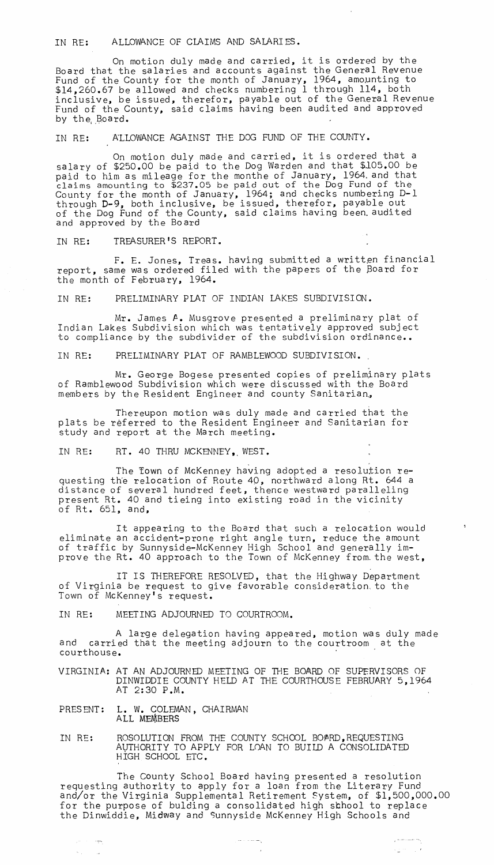## IN RE: ALLOWANCE OF CLAIMS AND SALARI ES •

On motion duly made and carried, it is ordered by the Board that the salaries and accounts against the General Revenue Fund of the County for the month of January, 1964, amounting to \$14,260.67 be allowed and checks numbering 1 through 114, both inclusive, be issued, therefor, payable out of the General Revenue Fund of the County, said claims having been audited and approved by the Board.

IN RE: ALLOWANCE AGAINST THE DOG FUND OF THE COUNTY.

On motion duly made and carried, it is ordered that a salary of \$250.00 be paid to the Dog Warden and that *\$l05.00* be paid to him as mileage for the monthe of January, 1964. and that claims amounting to \$237.05 be paid out of the Dog Fund of the County for the month of January, 1964; and checks numbering 0-1 through D-9, both inclusive, be issued, therefor, payable out of the Dog Fund of the County, said claims having been. audited and approved by the Board

IN RE: TREASURER'S REPORT.

F. E. Jones, Treas. having submitted a written financial report, same was ordered filed with the papers of the Board for the month of February, 1964.

IN RE: PRELIMINARY PLAT OF INDIAN LAKES SUBDIVISION.

Mr. James A. Musgrove presented a preliminary plat of Indian Lakes Subdivision which was tentatively approved subject to compliance by the subdivider of the subdivision ordinance..

IN RE: PRELIMINARY PLAT OF RAMBLEWOOD SUBDIVISION.

Mr. George Bogese presented copies of preliminary plats of Ramblewood Subdivision which were discussed with the Board members by the Resident Engineer and county Sanitarian.

Thereupon motion was duly made and carried that the plats be referred to the Resident Engineer and Sanitarian for study and report at the March meeting.

IN RE: RT. 40 THRU MCKENNEY. WEST.

The Iown of McKenney having adopted a resolution requesting the relocation of Route 40, northward along Rt. 644 a distance of several hundred feet, thence westward paralleling present Rt. 40 and tieing into existing road in the vicinity of Rt. 651, and,

It appearing to the Board that such a relocation would eliminate an accident-prone right angle turn, reduce the amount of traffic by Sunnyside-McKenney High School and generally improve the Rt. 40 approach to the Town of McKenney from. the west,

IT IS THEREFORE RESOLVED, that the Highway Department of Virginia be request to give favorable consideration. to the Town of McKenney's request.

IN RE: MEETING ADJOURNED TO COURTROOM.

A large delegation having appeared, motion was duly made and carried that the meeting adjourn to the courtroom at the courthouse.

VIRGINIA.: AT AN ADJOURNED MEETING OF THE BOARD OF SUPERVISORS OF DINWIDDIE COUNTY HELD AT THE COURTHOUSE FEBRUARY 5,1964 AT 2:30 P.M.

PRESENT: L. W. COLEMAN, CHAIRMAN ALL MEMBERS

ುಗಳು ಇತ್ತಾ

 $\propto \sqrt{\varepsilon}$  $\sim 100$ 

IN RE: ROSOLUTION FROM THE COUNTY SCHOOL BOARD, REQUESTING AVTHORITY TO APPLY FOR LOAN TO BUILD A CONSOLIDATED HIGH SCHOOL ETC.

The County School Board having presented a resolution reqUesting authority to apply for a loan from the Literary Fund and/or the Virginia Supplemental Retirement System, of \$1,500,000.00 for the purpose of bulding a consolidated high sbhool to replace the Dinwiddie, Midway and Sunnyside McKenney High Schools and

 $+2 + 12$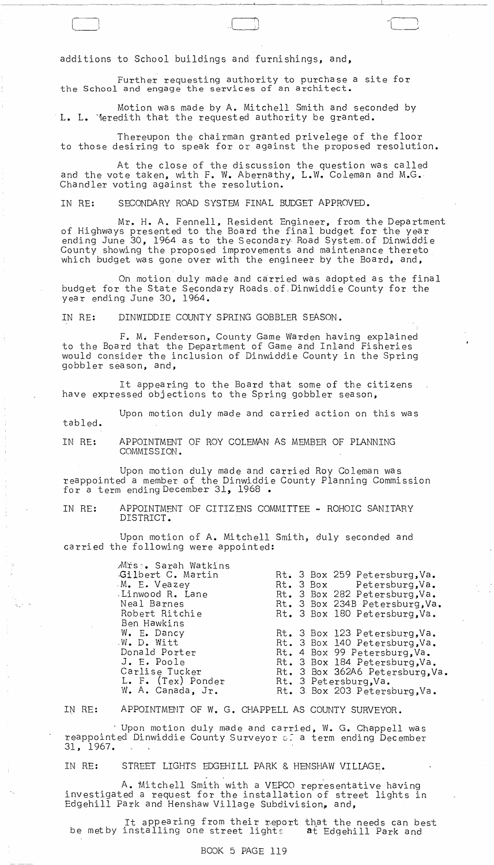additions to School buildings and furnishings, and,

Further requesting authority to purchase a site for the School and engage the services of an architect.

Motion was made by A. Mitchell Smith and seconded by L. L. "1eredith that the requested authority be granted.

Thereupon the chairman granted privelege of the floor to those desiring to speak for or against the proposed resolution.

At the close of the discussion the question was called and the vote taken, with F. W. Abernathy, L.W. Coleman and M.G. Chandler voting against the resolution.

IN RE: SECONDARY ROAD SYSTEM FINAL BUDGET APPROVED.

Mr. H. A. Fennell, Resident Engineer, from the Department of Highways presented to the Board the final budget for the year ending June 30, 1964 as to the Secondary Road System of Dinwiddie County showing the proposed improvements and maintenance thereto which budget was gone over with the engineer by the Board, and,

On motion duly made and carried was adopted as the final budget for the State Secondary Roads.of.Dinwiddie County for the year ending June 30, 1964.

IN RE: DINWIDDIE COUNTY SPRING GOBBLER SEASON.

F. M. Fenderson, County Game Warden having explained to the Board that the Department of Game and Inland Fisheries would consider the inclusion of Dinwiddie County in the Spring gobbler season, and,

It appearing to the Board that some of the citizens have expressed objections to the Spring gobbler season,

tabled. Upon motion duly made and carried action on this was

IN RE: APPOINTMENT OF ROY COLEMAN AS MEMBER OF PLANNING COMMISSION.

Upon motion duly made and carried Roy Coleman was reappointed a member gf the Dinwiddie County Planning Commission for a term ending December 31, 1968 •

IN RE: APPOINTMENT OF CITIZENS COMMITTEE - ROHOIC SANITARY DISTRICT.

Upon motion of A. Mitchell Smith, duly seconded and carried the following were appointed:

| Mrs . Sarah Watkins |                                 |
|---------------------|---------------------------------|
| Gilbert C. Martin   | Rt. 3 Box 259 Petersburg, Va.   |
| M. E. Veazey        | Rt. 3 Box Petersburg, Va.       |
| Linwood R. Lane     | Rt. 3 Box 282 Petersburg, Va.   |
| Neal Barnes         | Rt. 3 Box 234B Petersburg, Va.  |
| Robert Ritchie      | Rt. 3 Box 180 Petersburg. Va.   |
| Ben Hawkins         |                                 |
| W. E. Dancy         | Rt. 3 Box 123 Petersburg, Va.   |
| .W. D. Witt         | Rt. 3 Box 140 Petersburg, Va.   |
| Donald Porter       | Rt. 4 Box 99 Petersburg, Va.    |
| J. E. Poole         | Rt. 3 Box 184 Petersburg, Va.   |
| Carlise Tucker      | Rt. 3 Box 362A6 Petersburg, Va. |
| L. F. (Tex) Ponder  | Rt. 3 Petersburg, Va.           |
| W. A. Canada, Jr.   | Rt. 3 Box 203 Petersburg, Va.   |
|                     |                                 |

IN RE: APPOINTMENT OF W. G. CHAPPELL AS COUNTY SURVEYOR.

Upon motion duly made and carried, W. G. Chappell was reappointed Dinwiddie County Surveyor G: a term ending December 31, 1967.

IN RE: STREET LIGHTS EDGEHILL PARK & HENSHAW VILLAGE.

A. Mitchell Smith with a VEPCO representative having investigated a request for the installation of street lights in Edgehill Park and Henshaw Village Subdivision, and,

It appearing from their report that the needs can best be met by installing one street lights and Edgehill Park and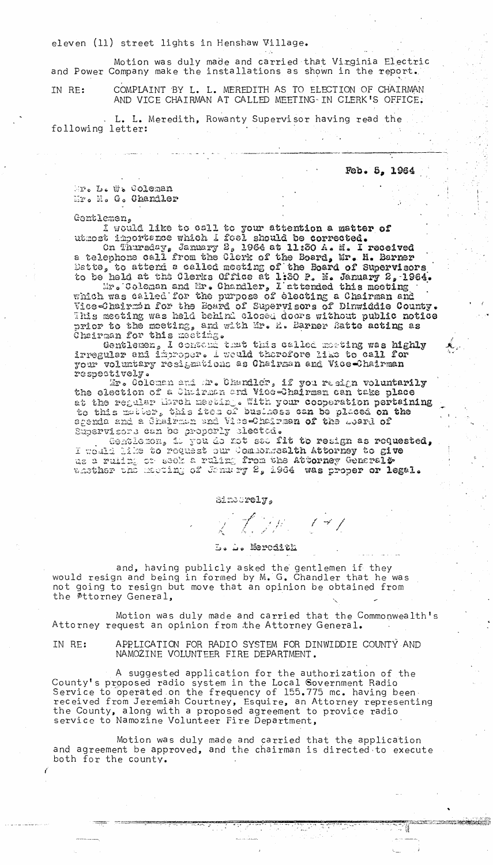eleven (11) street lights in Henshaw Village.

Motion was duly made and carried that Virginia Electric and Power Company make the installations as shown in the report.

IN RE: COMPLAINT BY L. L. MEREDITH AS TO ELECTION OF CHAIRMAN AND VICE CHAIRMAN AT CALLED MEETING IN CLERK'S OFFICE.

. L. L. Meredith, Rowanty Supervisor having read the following letter:

Fob. 5, 1964

SUCCESS CONSTRUCTION

二道

Mr. L. W. Coleman Mr. H. G. Ghandler

Gentlemen,

 $\epsilon$ 

I would like to call to your attention a matter of utmost importance which I foel should be corrected. On Thursday, January 2, 1964 at 11:30 A. M. I received

a telephone call from the Clerk of the Board, Mr. H. Barner Dette, to attend a called meeting of the Board of Supervisors to be held at the Clerks Office at 1:30 P. M. January 2, 1964.

Mr. Coleman and Mr. Chandler, L'attended this meeting which was called for the purpose of electing a Chairman and Wise-Chairmin for the Board of Supervisors of Dinwiddie County. This meeting was held behind closed doors without public notice prior to the meeting, and with Mr. M. Barner Batte acting as Cheirman for this meeting.

Gentlemen, I contond that this called meeting was highly irregular and improper. I would therefore like to call for your voluntary resignations as Chairman and Vice-Chairman respoctively.

Mr. Coleman and Mr. Chandler, if you resign voluntarily the election of a Chairman and Vice-Chairman can take place at the regular Mirch merting. With your cooperation pertaining to this moder, this iten of business can be placed on the agenda and a Ghairman and Vice-Chairman of the Loard of Supervisors can be properly clectod.

Gentlemen, il you de not see fit to resign as requested, I would like to request our Componealth Attorney to give a ruling or seek a ruling from the Attorney General #

Sindorely,

そ プンカー・ピール

and, having publicly asked the gentlemen if they would resign and being in formed by M. G. Chandler that he was not going to resign but move that an opinion be obtained from the Attorney General,

Motion was duly made and carried that the Commonwealth's Attorney request an opinion from the Attorney General.

IN RE: APPLICATION FOR RADIO SYSTEM FOR DINWIDDIE COUNTY AND NAMOZINE VOLUNTEER FIRE DEPARTMENT.

A suggested application for the authorization of the County's proposed radio system in the Local Government Radio Service to operated on the frequency of 155.775 mc. having been. received from Jeremiah Courtney, Esquire, an Attorney representing the County, along with a proposed agreement to provice radio service to Namozine Volunteer Fire Department,

Motion was duly made and carried that the application and agreement be approved, and the chairman is directed to execute both for the county.

L. L. Merodith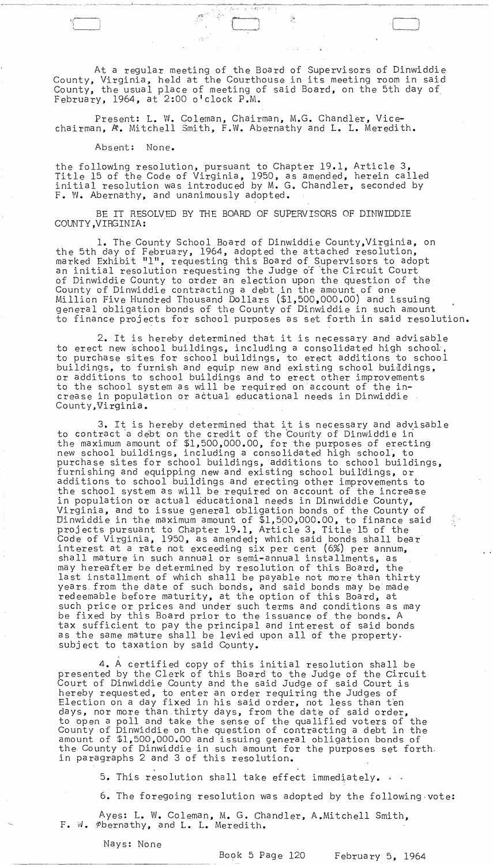At a regular meeting of the Board of Supervisors of Dinwiddie County, Virginia, held at the Courthouse in its meeting room in said County, the usual place of meeting of said Board, on the 5th day of February, 1964, at  $2:00$  o'clock  $P.M.$ 

, .. ~.: - ..

:-;..

Present: L. W. Coleman, Chairman, M.G. Chandler, Vicechairman,  $A$ . Mitchell Smith, F.W. Abernathy and L. L. Meredith.

Absent: None.

\_\_\_\_\_ -------\_\_\_ ~.\_I

5-'/~~  $\sim$ 

 $\cup$ 

the following resolution, pursuant to Chapter 19.1, Article 3, Title 15 of the Code of Virginia, 1950, as amended, herein called initial resolution was introduced by M. G. Chandler, seconded by F. W. Abernathy, and unanimously adopted.

BE IT RESOLVED BY THE BOARD OF SUPERVISORS OF DINWIDDIE COUNTY ,VIRGINIA:

1. The County School Board of Dinwiddie County,Virginia, on the 5th day of February, 1964, adopted the attached resolution, marked Exhibit "l", requesting this Board of Supervisors to adopt an initial resolution requesting the Judge o'f 'the Circuit Court of Dinwiddie County to order an election upon the question of the County of Dinwiddie contracting a debt in the amount of one Million Five Hundred Tbousand Dollars (\$1,500,000.00) and issuing general obligation bonds of the County of Dinwiddie in such amount to finance projects for school purposes as set forth in said resolution.

2. It is hereby determined that it is necessary and advisable to erect new school buildings, including a consolidated high school, to purchase sites for school buildings, to erect additions to school buildings, to furnish and equip new and existing school buildings, or additions to school buildings and to erect other improvements to the school system as will be required on account of the increase in population or actual educational needs in Dinwiddie County, Virginia.

3. It is hereby determined that it is necessary and advisable to contract a debt on the credit of the County of Dinwiddie in the maximum amount of \$1,500,000.00, for the purposes of erecting new school buildings, including a consolidated high school~ to purchase sites for school buildings, additions to school buildings, furnishing and equipping new and existing school buildings, or additions to school buildings and erecting other improvements to the school system as will be required on account of the increase in population or actual educational needs in Dinwiddie County, Virginia, and to issue general obligation bonds of the County of Dinwiddie in the maximum amount of  $$1,500,000.00$ , to finance said projects pursuant to Chapter 19.1, Article 3, Title 15 of the Code of Virginia, 1950, as amended; which said bonds shall bear interest at a rate not exceeding six per cent (6%) per annum, shall mature in such annual or semi-annual installments, as may hereafter be determined by resolution of this Board, the last installment of which shall be payable not more than thirty years. from the date of such bonds, and said bonds may be'made redeemable before maturity, at the option of this Board, at such price or prices and under such terms and conditions as may be fixed by this Board prior to the issuance of the bonds. A tax sufficient to pay the principal and int erest of said bonds as the same mature shall be levied upon all of the property. subject to taxation by said County.

4. A certified copy of this initial resolution shall be presented by the Clerk of this Board to the Judge of the Circuit Court of Dinwiddie County and the said Judge of said Court is hereby requested, to enter an order requiring the Judges of Election on a day fixed in his said order, not less than ten days, nor more than thirty days, from the date of said order, to open a poll and take the sense of the qualified voters of the County of Dinwiddie on the question of contracting a debt in the amount of \$1,500,000.00 and issuing general obligation bonds of the County of Dinwiddie in such amount for the purposes set forth. in paragraphs 2 and 3 of this resolution.

5. This resolution shall take effect immediately.  $\cdot$  .

6. The foregoing resolution was adopted by the following ,vote:

Ayes: L. W. Coleman, M. G. Chandler, A.Mitchell Smith, F. W. #bernathy, and L. L. Meredith.

Nays: None

,